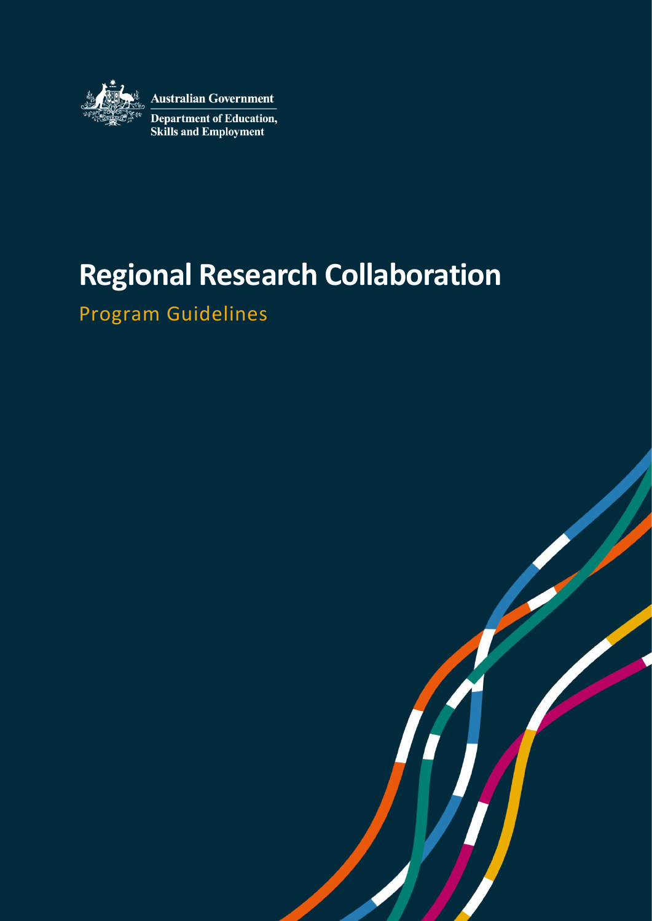

**Australian Government** 

Department of Education,<br>Skills and Employment

# **Regional Research Collaboration**

Program Guidelines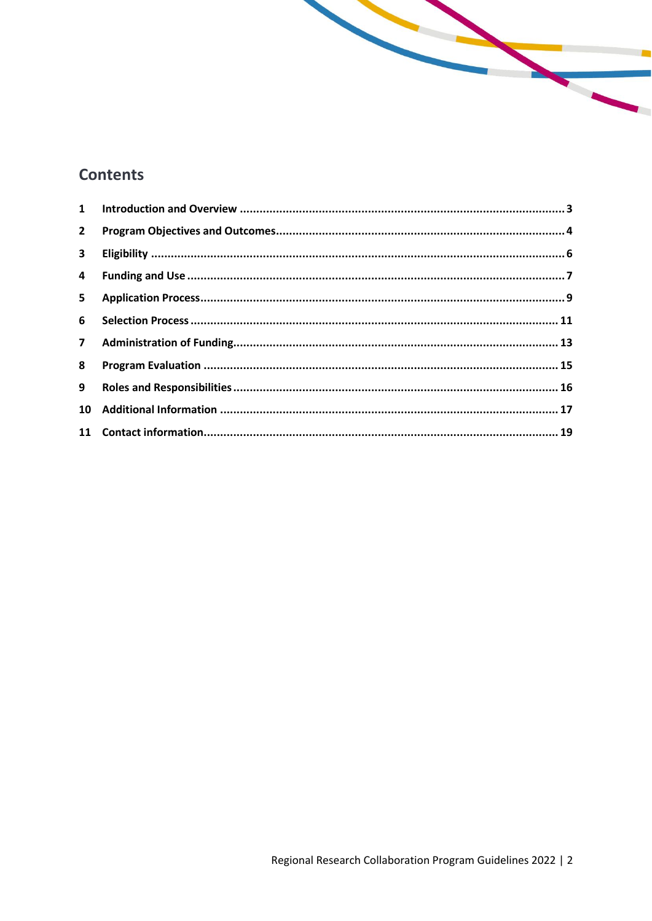# **Contents**

| $\mathbf{2}$   |  |
|----------------|--|
| $\mathbf{3}$   |  |
| $\overline{4}$ |  |
| $5 -$          |  |
| 6              |  |
|                |  |
| 8              |  |
| 9              |  |
| 10             |  |
|                |  |

**Santa Cardinal**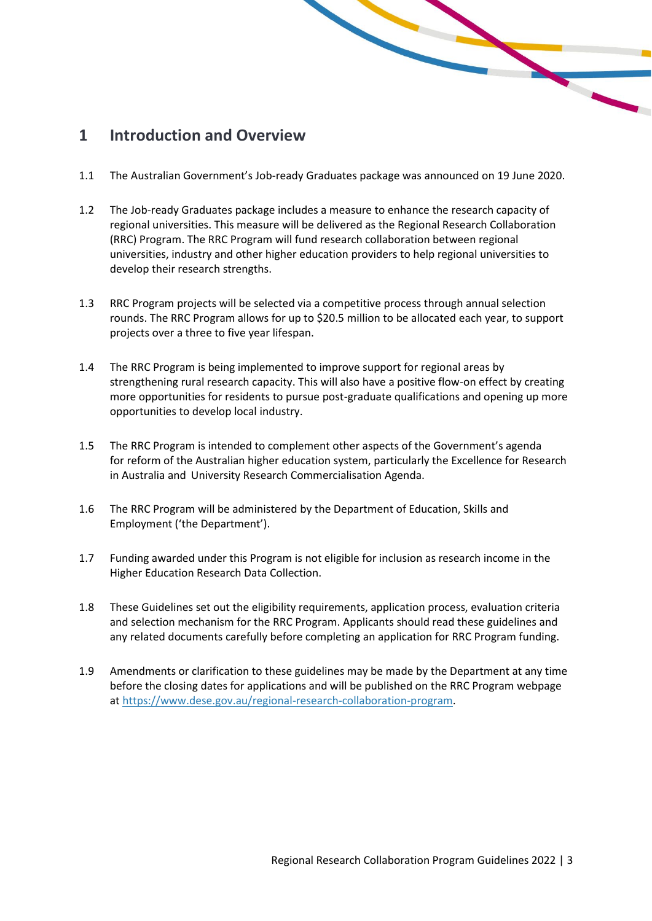### <span id="page-2-0"></span>**1 Introduction and Overview**

1.1 The Australian Government's Job-ready Graduates package was announced on 19 June 2020.

- 1.2 The Job-ready Graduates package includes a measure to enhance the research capacity of regional universities. This measure will be delivered as the Regional Research Collaboration (RRC) Program. The RRC Program will fund research collaboration between regional universities, industry and other higher education providers to help regional universities to develop their research strengths.
- 1.3 RRC Program projects will be selected via a competitive process through annual selection rounds. The RRC Program allows for up to \$20.5 million to be allocated each year, to support projects over a three to five year lifespan.
- 1.4 The RRC Program is being implemented to improve support for regional areas by strengthening rural research capacity. This will also have a positive flow-on effect by creating more opportunities for residents to pursue post-graduate qualifications and opening up more opportunities to develop local industry.
- 1.5 The RRC Program is intended to complement other aspects of the Government's agenda for reform of the Australian higher education system, particularly the Excellence for Research in Australia and University Research Commercialisation Agenda.
- 1.6 The RRC Program will be administered by the Department of Education, Skills and Employment ('the Department').
- 1.7 Funding awarded under this Program is not eligible for inclusion as research income in the Higher Education Research Data Collection.
- 1.8 These Guidelines set out the eligibility requirements, application process, evaluation criteria and selection mechanism for the RRC Program. Applicants should read these guidelines and any related documents carefully before completing an application for RRC Program funding.
- 1.9 Amendments or clarification to these guidelines may be made by the Department at any time before the closing dates for applications and will be published on the RRC Program webpage at [https://www.dese.gov.au/regional-research-collaboration-program.](https://www.dese.gov.au/regional-research-collaboration-program)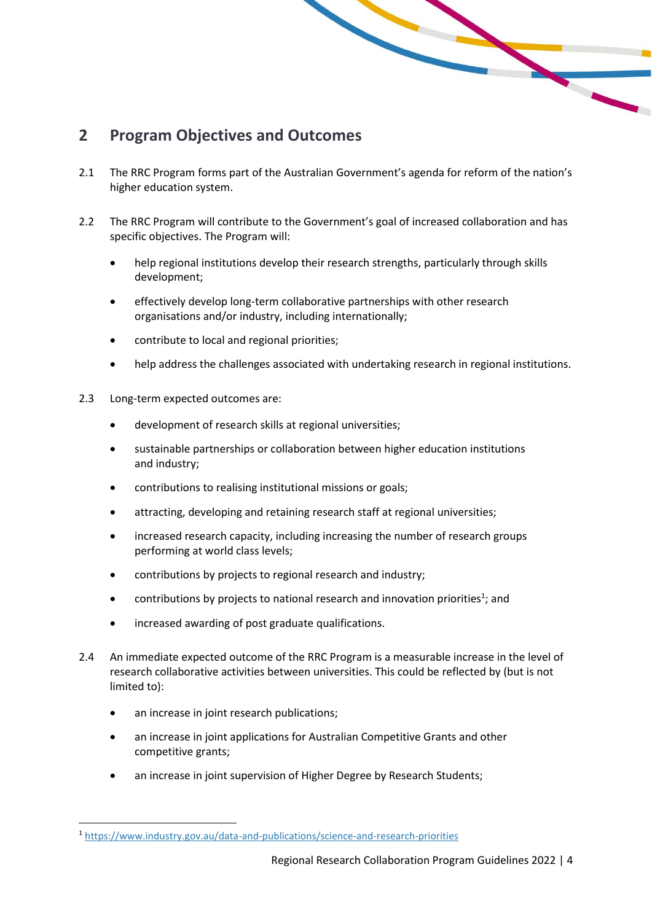# <span id="page-3-0"></span>**2 Program Objectives and Outcomes**

2.1 The RRC Program forms part of the Australian Government's agenda for reform of the nation's higher education system.

- 2.2 The RRC Program will contribute to the Government's goal of increased collaboration and has specific objectives. The Program will:
	- help regional institutions develop their research strengths, particularly through skills development;
	- effectively develop long-term collaborative partnerships with other research organisations and/or industry, including internationally;
	- contribute to local and regional priorities;
	- help address the challenges associated with undertaking research in regional institutions.
- 2.3 Long-term expected outcomes are:
	- development of research skills at regional universities;
	- sustainable partnerships or collaboration between higher education institutions and industry;
	- contributions to realising institutional missions or goals;
	- attracting, developing and retaining research staff at regional universities;
	- increased research capacity, including increasing the number of research groups performing at world class levels;
	- contributions by projects to regional research and industry;
	- contributions by projects to national research and innovation priorities<sup>1</sup>; and
	- increased awarding of post graduate qualifications.
- 2.4 An immediate expected outcome of the RRC Program is a measurable increase in the level of research collaborative activities between universities. This could be reflected by (but is not limited to):
	- an increase in joint research publications;
	- an increase in joint applications for Australian Competitive Grants and other competitive grants;
	- an increase in joint supervision of Higher Degree by Research Students;

<sup>1</sup> <https://www.industry.gov.au/data-and-publications/science-and-research-priorities>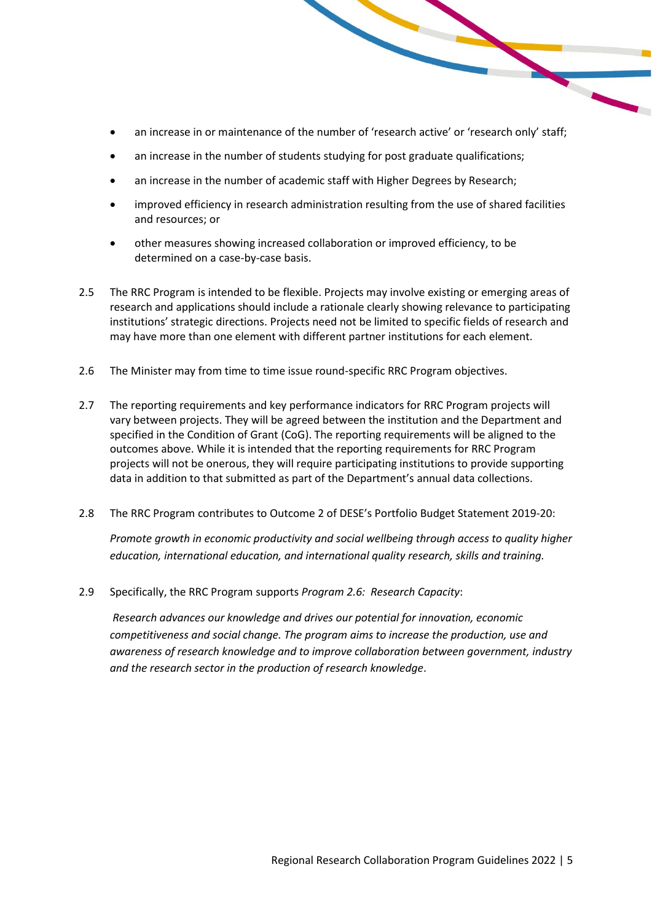- an increase in or maintenance of the number of 'research active' or 'research only' staff;
- an increase in the number of students studying for post graduate qualifications;
- an increase in the number of academic staff with Higher Degrees by Research;
- improved efficiency in research administration resulting from the use of shared facilities and resources; or
- other measures showing increased collaboration or improved efficiency, to be determined on a case-by-case basis.
- 2.5 The RRC Program is intended to be flexible. Projects may involve existing or emerging areas of research and applications should include a rationale clearly showing relevance to participating institutions' strategic directions. Projects need not be limited to specific fields of research and may have more than one element with different partner institutions for each element.
- 2.6 The Minister may from time to time issue round-specific RRC Program objectives.
- 2.7 The reporting requirements and key performance indicators for RRC Program projects will vary between projects. They will be agreed between the institution and the Department and specified in the Condition of Grant (CoG). The reporting requirements will be aligned to the outcomes above. While it is intended that the reporting requirements for RRC Program projects will not be onerous, they will require participating institutions to provide supporting data in addition to that submitted as part of the Department's annual data collections.
- 2.8 The RRC Program contributes to Outcome 2 of DESE's Portfolio Budget Statement 2019-20:

*Promote growth in economic productivity and social wellbeing through access to quality higher education, international education, and international quality research, skills and training.*

2.9 Specifically, the RRC Program supports *Program 2.6: Research Capacity*:

*Research advances our knowledge and drives our potential for innovation, economic competitiveness and social change. The program aims to increase the production, use and awareness of research knowledge and to improve collaboration between government, industry and the research sector in the production of research knowledge*.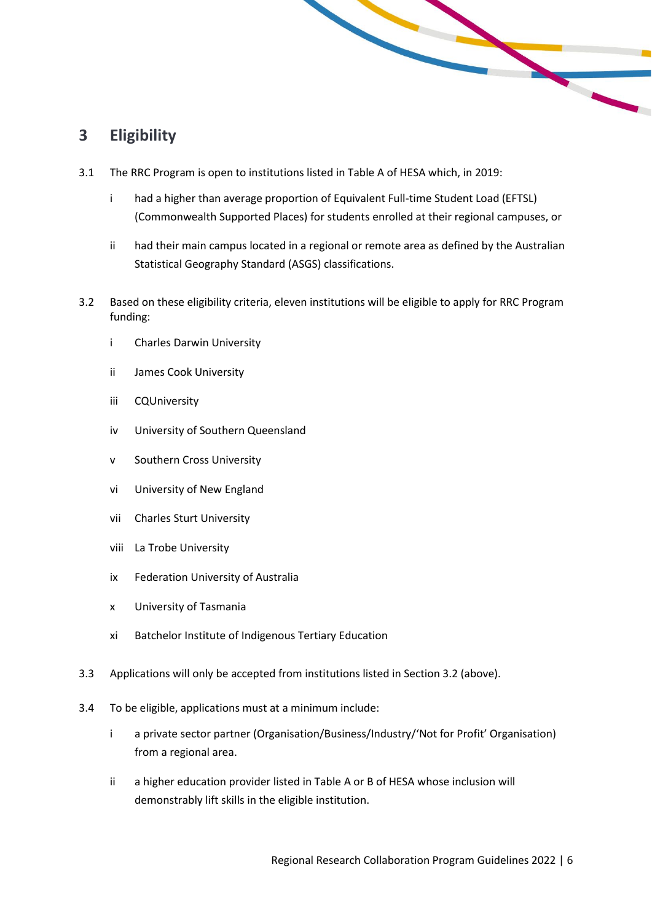## <span id="page-5-0"></span>**3 Eligibility**

- 3.1 The RRC Program is open to institutions listed in Table A of HESA which, in 2019:
	- i had a higher than average proportion of Equivalent Full-time Student Load (EFTSL) (Commonwealth Supported Places) for students enrolled at their regional campuses, or

- ii had their main campus located in a regional or remote area as defined by the Australian Statistical Geography Standard (ASGS) classifications.
- 3.2 Based on these eligibility criteria, eleven institutions will be eligible to apply for RRC Program funding:
	- i Charles Darwin University
	- ii James Cook University
	- iii CQUniversity
	- iv University of Southern Queensland
	- v Southern Cross University
	- vi University of New England
	- vii Charles Sturt University
	- viii La Trobe University
	- ix Federation University of Australia
	- x University of Tasmania
	- xi Batchelor Institute of Indigenous Tertiary Education
- 3.3 Applications will only be accepted from institutions listed in Section 3.2 (above).
- 3.4 To be eligible, applications must at a minimum include:
	- i a private sector partner (Organisation/Business/Industry/'Not for Profit' Organisation) from a regional area.
	- ii a higher education provider listed in Table A or B of HESA whose inclusion will demonstrably lift skills in the eligible institution.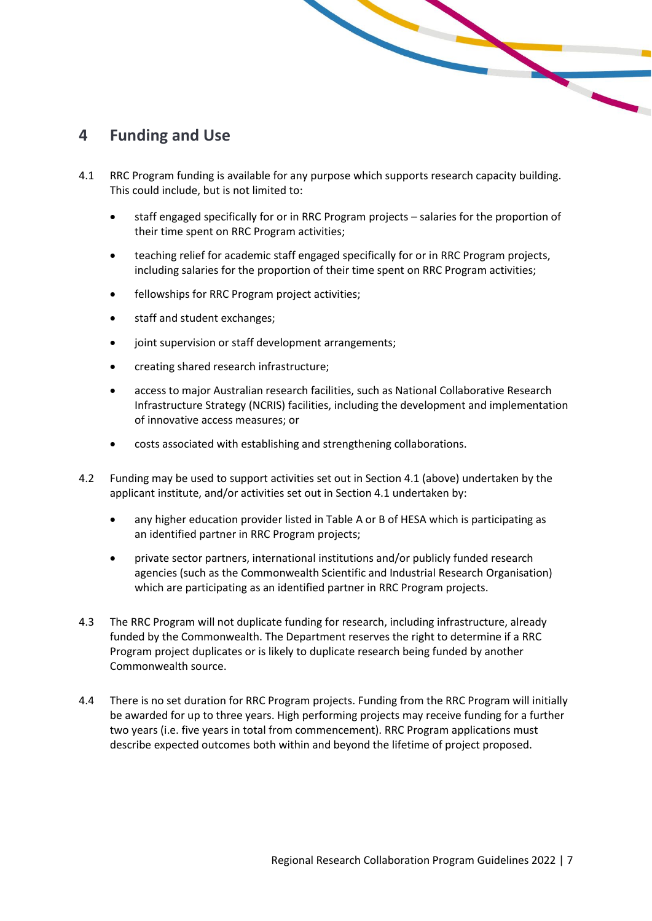#### <span id="page-6-0"></span>**4 Funding and Use**

- 4.1 RRC Program funding is available for any purpose which supports research capacity building. This could include, but is not limited to:
	- staff engaged specifically for or in RRC Program projects salaries for the proportion of their time spent on RRC Program activities;

 $\mathbf{r}$ 

- teaching relief for academic staff engaged specifically for or in RRC Program projects, including salaries for the proportion of their time spent on RRC Program activities;
- fellowships for RRC Program project activities;
- staff and student exchanges;
- joint supervision or staff development arrangements;
- creating shared research infrastructure;
- access to major Australian research facilities, such as National Collaborative Research Infrastructure Strategy (NCRIS) facilities, including the development and implementation of innovative access measures; or
- costs associated with establishing and strengthening collaborations.
- 4.2 Funding may be used to support activities set out in Section 4.1 (above) undertaken by the applicant institute, and/or activities set out in Section 4.1 undertaken by:
	- any higher education provider listed in Table A or B of HESA which is participating as an identified partner in RRC Program projects;
	- private sector partners, international institutions and/or publicly funded research agencies (such as the Commonwealth Scientific and Industrial Research Organisation) which are participating as an identified partner in RRC Program projects.
- 4.3 The RRC Program will not duplicate funding for research, including infrastructure, already funded by the Commonwealth. The Department reserves the right to determine if a RRC Program project duplicates or is likely to duplicate research being funded by another Commonwealth source.
- 4.4 There is no set duration for RRC Program projects. Funding from the RRC Program will initially be awarded for up to three years. High performing projects may receive funding for a further two years (i.e. five years in total from commencement). RRC Program applications must describe expected outcomes both within and beyond the lifetime of project proposed.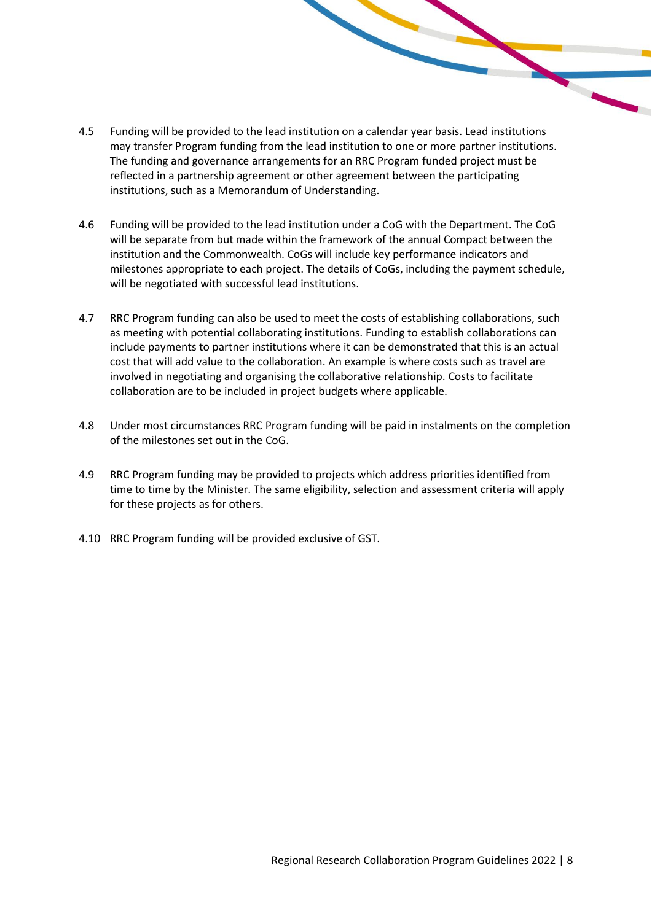- 4.5 Funding will be provided to the lead institution on a calendar year basis. Lead institutions may transfer Program funding from the lead institution to one or more partner institutions. The funding and governance arrangements for an RRC Program funded project must be reflected in a partnership agreement or other agreement between the participating institutions, such as a Memorandum of Understanding.
- 4.6 Funding will be provided to the lead institution under a CoG with the Department. The CoG will be separate from but made within the framework of the annual Compact between the institution and the Commonwealth. CoGs will include key performance indicators and milestones appropriate to each project. The details of CoGs, including the payment schedule, will be negotiated with successful lead institutions.
- 4.7 RRC Program funding can also be used to meet the costs of establishing collaborations, such as meeting with potential collaborating institutions. Funding to establish collaborations can include payments to partner institutions where it can be demonstrated that this is an actual cost that will add value to the collaboration. An example is where costs such as travel are involved in negotiating and organising the collaborative relationship. Costs to facilitate collaboration are to be included in project budgets where applicable.
- 4.8 Under most circumstances RRC Program funding will be paid in instalments on the completion of the milestones set out in the CoG.
- 4.9 RRC Program funding may be provided to projects which address priorities identified from time to time by the Minister. The same eligibility, selection and assessment criteria will apply for these projects as for others.
- 4.10 RRC Program funding will be provided exclusive of GST.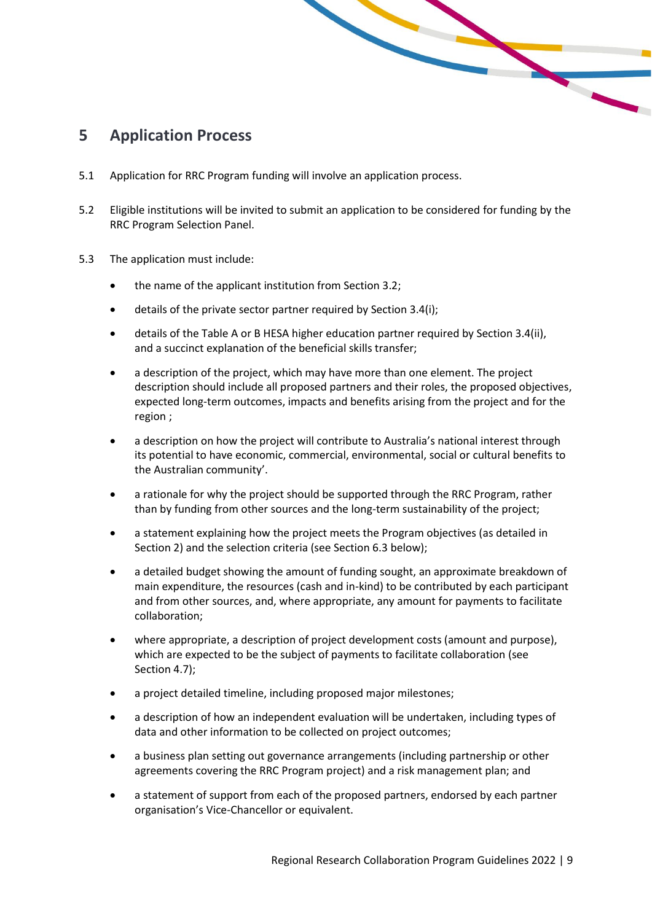#### <span id="page-8-0"></span>**5 Application Process**

- 5.1 Application for RRC Program funding will involve an application process.
- 5.2 Eligible institutions will be invited to submit an application to be considered for funding by the RRC Program Selection Panel.

- 5.3 The application must include:
	- the name of the applicant institution from Section 3.2;
	- details of the private sector partner required by Section 3.4(i);
	- details of the Table A or B HESA higher education partner required by Section 3.4(ii), and a succinct explanation of the beneficial skills transfer;
	- a description of the project, which may have more than one element. The project description should include all proposed partners and their roles, the proposed objectives, expected long-term outcomes, impacts and benefits arising from the project and for the region ;
	- a description on how the project will contribute to Australia's national interest through its potential to have economic, commercial, environmental, social or cultural benefits to the Australian community'.
	- a rationale for why the project should be supported through the RRC Program, rather than by funding from other sources and the long-term sustainability of the project;
	- a statement explaining how the project meets the Program objectives (as detailed in Section 2) and the selection criteria (see Section 6.3 below);
	- a detailed budget showing the amount of funding sought, an approximate breakdown of main expenditure, the resources (cash and in-kind) to be contributed by each participant and from other sources, and, where appropriate, any amount for payments to facilitate collaboration;
	- where appropriate, a description of project development costs (amount and purpose), which are expected to be the subject of payments to facilitate collaboration (see Section 4.7);
	- a project detailed timeline, including proposed major milestones;
	- a description of how an independent evaluation will be undertaken, including types of data and other information to be collected on project outcomes;
	- a business plan setting out governance arrangements (including partnership or other agreements covering the RRC Program project) and a risk management plan; and
	- a statement of support from each of the proposed partners, endorsed by each partner organisation's Vice-Chancellor or equivalent.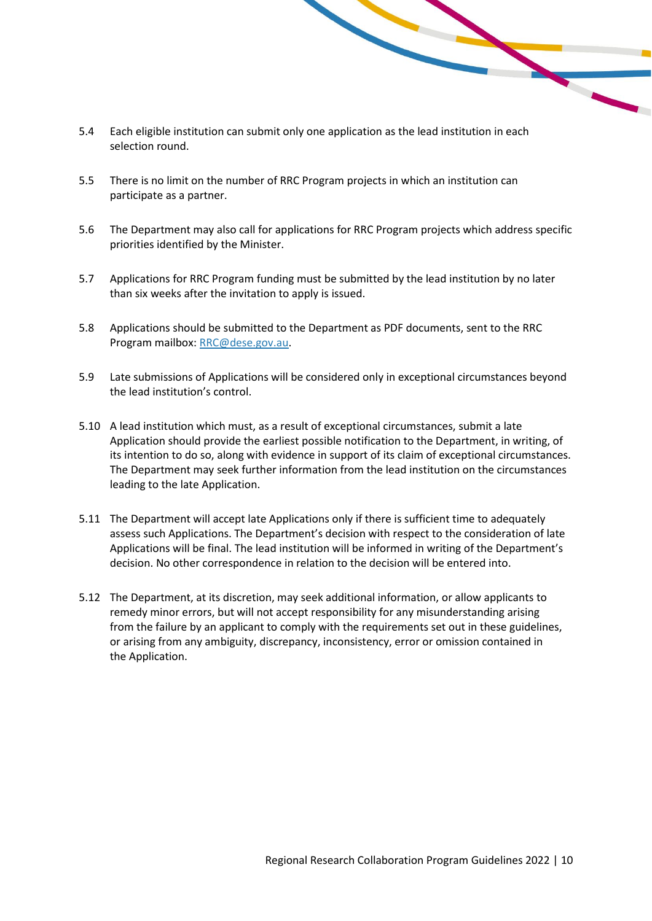- 5.4 Each eligible institution can submit only one application as the lead institution in each selection round.
- 5.5 There is no limit on the number of RRC Program projects in which an institution can participate as a partner.
- 5.6 The Department may also call for applications for RRC Program projects which address specific priorities identified by the Minister.
- 5.7 Applications for RRC Program funding must be submitted by the lead institution by no later than six weeks after the invitation to apply is issued.
- 5.8 Applications should be submitted to the Department as PDF documents, sent to the RRC Program mailbox: [RRC@dese.gov.au.](mailto:RRC@dese.gov.au)
- 5.9 Late submissions of Applications will be considered only in exceptional circumstances beyond the lead institution's control.
- 5.10 A lead institution which must, as a result of exceptional circumstances, submit a late Application should provide the earliest possible notification to the Department, in writing, of its intention to do so, along with evidence in support of its claim of exceptional circumstances. The Department may seek further information from the lead institution on the circumstances leading to the late Application.
- 5.11 The Department will accept late Applications only if there is sufficient time to adequately assess such Applications. The Department's decision with respect to the consideration of late Applications will be final. The lead institution will be informed in writing of the Department's decision. No other correspondence in relation to the decision will be entered into.
- 5.12 The Department, at its discretion, may seek additional information, or allow applicants to remedy minor errors, but will not accept responsibility for any misunderstanding arising from the failure by an applicant to comply with the requirements set out in these guidelines, or arising from any ambiguity, discrepancy, inconsistency, error or omission contained in the Application.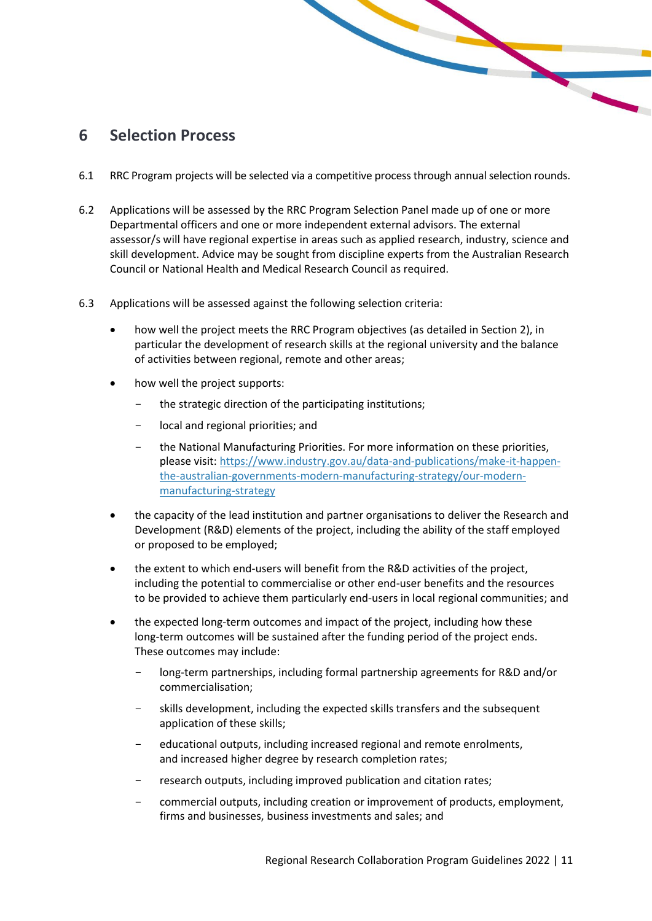#### <span id="page-10-0"></span>**6 Selection Process**

6.1 RRC Program projects will be selected via a competitive process through annual selection rounds.

L

- 6.2 Applications will be assessed by the RRC Program Selection Panel made up of one or more Departmental officers and one or more independent external advisors. The external assessor/s will have regional expertise in areas such as applied research, industry, science and skill development. Advice may be sought from discipline experts from the Australian Research Council or National Health and Medical Research Council as required.
- 6.3 Applications will be assessed against the following selection criteria:
	- how well the project meets the RRC Program objectives (as detailed in Section 2), in particular the development of research skills at the regional university and the balance of activities between regional, remote and other areas;
	- how well the project supports:
		- the strategic direction of the participating institutions;
		- local and regional priorities; and
		- the National Manufacturing Priorities. For more information on these priorities, please visit: [https://www.industry.gov.au/data-and-publications/make-it-happen](https://www.industry.gov.au/data-and-publications/make-it-happen-the-australian-governments-modern-manufacturing-strategy/our-modern-manufacturing-strategy)[the-australian-governments-modern-manufacturing-strategy/our-modern](https://www.industry.gov.au/data-and-publications/make-it-happen-the-australian-governments-modern-manufacturing-strategy/our-modern-manufacturing-strategy)[manufacturing-strategy](https://www.industry.gov.au/data-and-publications/make-it-happen-the-australian-governments-modern-manufacturing-strategy/our-modern-manufacturing-strategy)
	- the capacity of the lead institution and partner organisations to deliver the Research and Development (R&D) elements of the project, including the ability of the staff employed or proposed to be employed;
	- the extent to which end-users will benefit from the R&D activities of the project, including the potential to commercialise or other end-user benefits and the resources to be provided to achieve them particularly end-users in local regional communities; and
	- the expected long-term outcomes and impact of the project, including how these long-term outcomes will be sustained after the funding period of the project ends. These outcomes may include:
		- long-term partnerships, including formal partnership agreements for R&D and/or commercialisation;
		- skills development, including the expected skills transfers and the subsequent application of these skills;
		- educational outputs, including increased regional and remote enrolments, and increased higher degree by research completion rates;
		- research outputs, including improved publication and citation rates;
		- commercial outputs, including creation or improvement of products, employment, firms and businesses, business investments and sales; and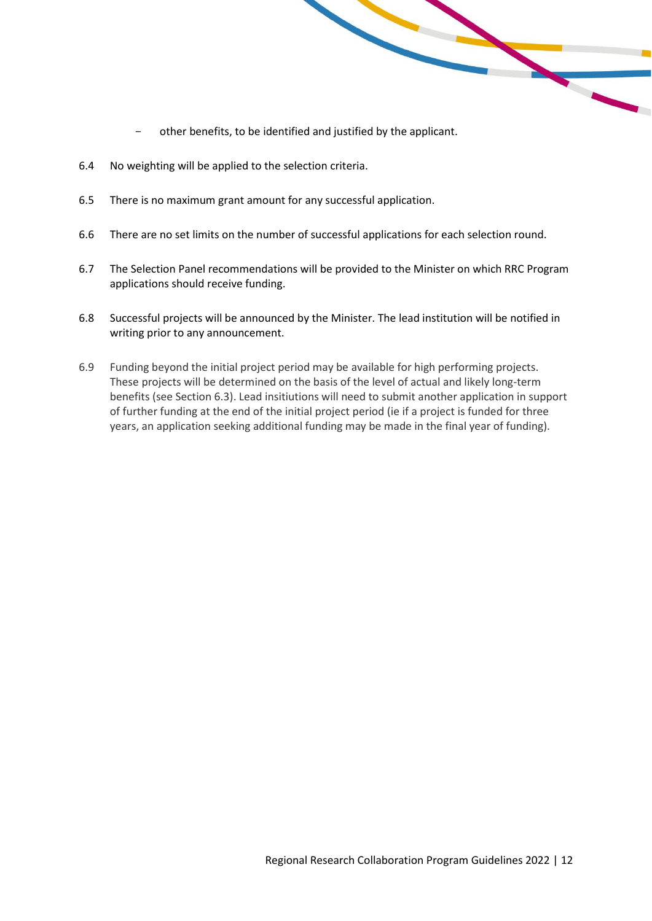other benefits, to be identified and justified by the applicant.

 $\blacktriangle$ 

- 6.4 No weighting will be applied to the selection criteria.
- 6.5 There is no maximum grant amount for any successful application.
- 6.6 There are no set limits on the number of successful applications for each selection round.
- 6.7 The Selection Panel recommendations will be provided to the Minister on which RRC Program applications should receive funding.
- 6.8 Successful projects will be announced by the Minister. The lead institution will be notified in writing prior to any announcement.
- 6.9 Funding beyond the initial project period may be available for high performing projects. These projects will be determined on the basis of the level of actual and likely long-term benefits (see Section 6.3). Lead insitiutions will need to submit another application in support of further funding at the end of the initial project period (ie if a project is funded for three years, an application seeking additional funding may be made in the final year of funding).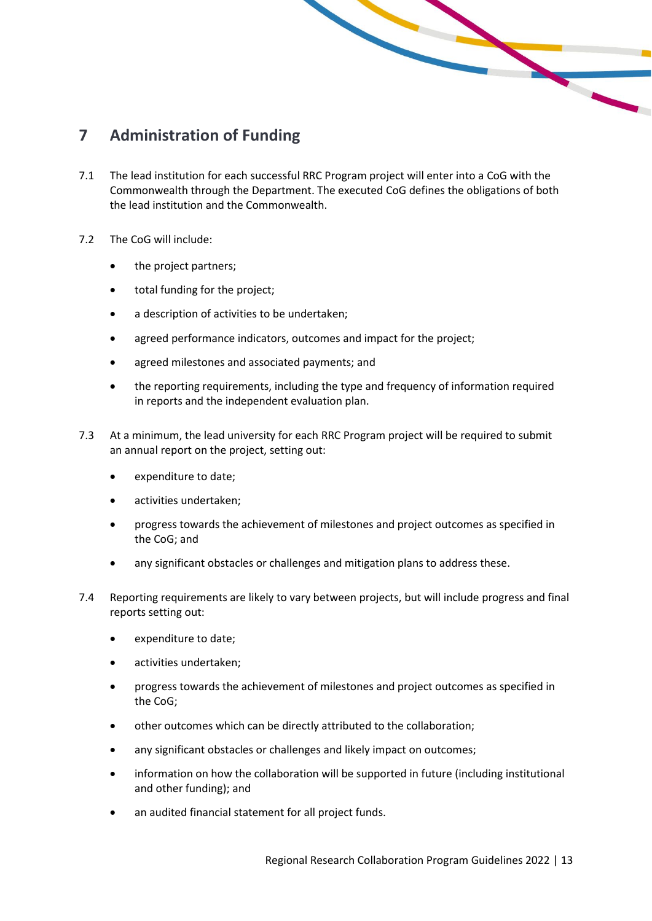# <span id="page-12-0"></span>**7 Administration of Funding**

7.1 The lead institution for each successful RRC Program project will enter into a CoG with the Commonwealth through the Department. The executed CoG defines the obligations of both the lead institution and the Commonwealth.

- 7.2 The CoG will include:
	- the project partners;
	- total funding for the project;
	- a description of activities to be undertaken;
	- agreed performance indicators, outcomes and impact for the project;
	- agreed milestones and associated payments; and
	- the reporting requirements, including the type and frequency of information required in reports and the independent evaluation plan.
- 7.3 At a minimum, the lead university for each RRC Program project will be required to submit an annual report on the project, setting out:
	- expenditure to date;
	- activities undertaken;
	- progress towards the achievement of milestones and project outcomes as specified in the CoG; and
	- any significant obstacles or challenges and mitigation plans to address these.
- 7.4 Reporting requirements are likely to vary between projects, but will include progress and final reports setting out:
	- expenditure to date;
	- activities undertaken;
	- progress towards the achievement of milestones and project outcomes as specified in the CoG;
	- other outcomes which can be directly attributed to the collaboration;
	- any significant obstacles or challenges and likely impact on outcomes;
	- information on how the collaboration will be supported in future (including institutional and other funding); and
	- an audited financial statement for all project funds.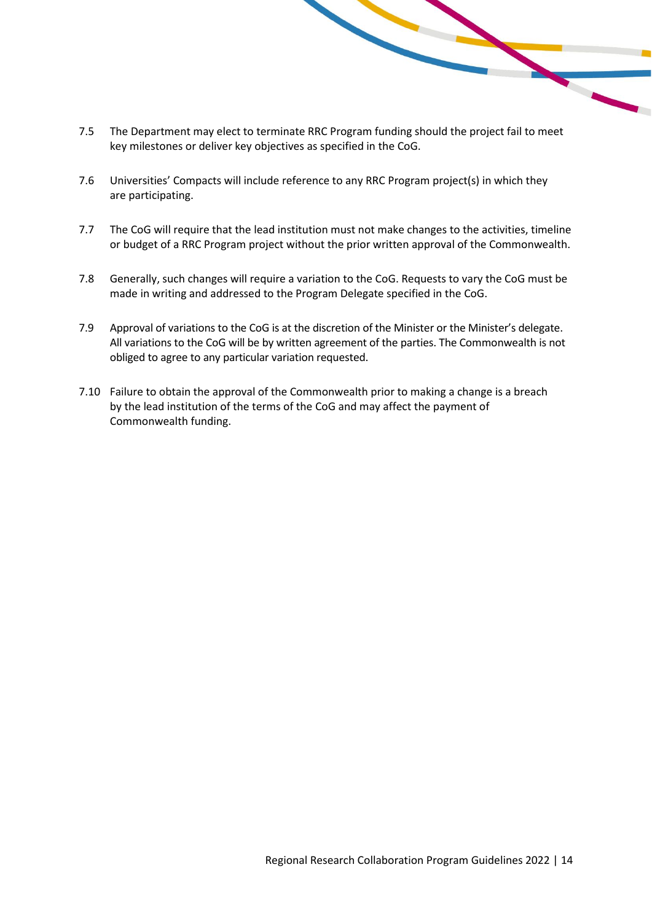7.5 The Department may elect to terminate RRC Program funding should the project fail to meet key milestones or deliver key objectives as specified in the CoG.

<u>range</u>

- 7.6 Universities' Compacts will include reference to any RRC Program project(s) in which they are participating.
- 7.7 The CoG will require that the lead institution must not make changes to the activities, timeline or budget of a RRC Program project without the prior written approval of the Commonwealth.
- 7.8 Generally, such changes will require a variation to the CoG. Requests to vary the CoG must be made in writing and addressed to the Program Delegate specified in the CoG.
- 7.9 Approval of variations to the CoG is at the discretion of the Minister or the Minister's delegate. All variations to the CoG will be by written agreement of the parties. The Commonwealth is not obliged to agree to any particular variation requested.
- 7.10 Failure to obtain the approval of the Commonwealth prior to making a change is a breach by the lead institution of the terms of the CoG and may affect the payment of Commonwealth funding.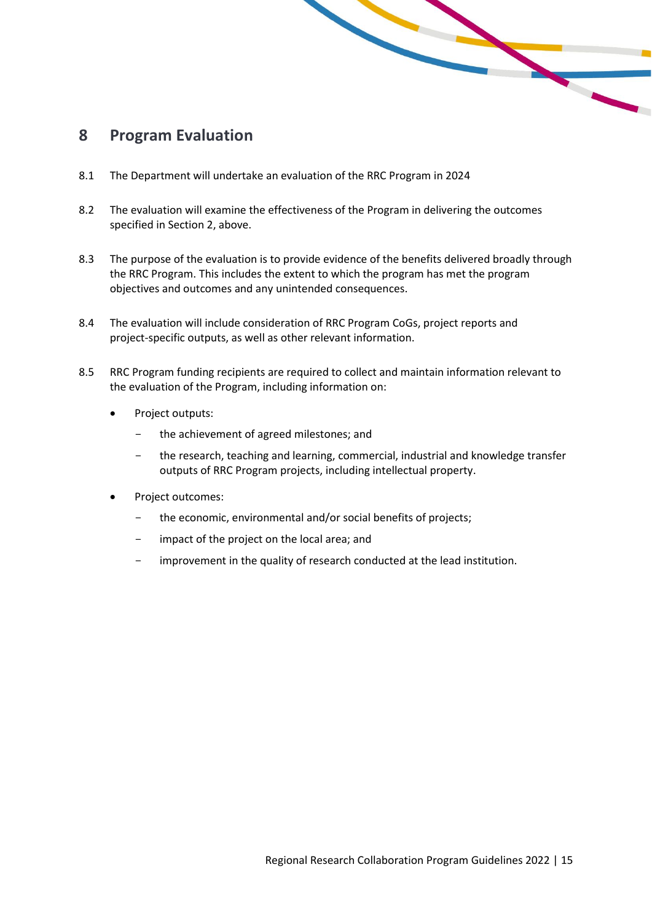### <span id="page-14-0"></span>**8 Program Evaluation**

- 8.1 The Department will undertake an evaluation of the RRC Program in 2024
- 8.2 The evaluation will examine the effectiveness of the Program in delivering the outcomes specified in Section 2, above.
- 8.3 The purpose of the evaluation is to provide evidence of the benefits delivered broadly through the RRC Program. This includes the extent to which the program has met the program objectives and outcomes and any unintended consequences.

- 8.4 The evaluation will include consideration of RRC Program CoGs, project reports and project-specific outputs, as well as other relevant information.
- 8.5 RRC Program funding recipients are required to collect and maintain information relevant to the evaluation of the Program, including information on:
	- Project outputs:
		- the achievement of agreed milestones; and
		- the research, teaching and learning, commercial, industrial and knowledge transfer outputs of RRC Program projects, including intellectual property.
	- Project outcomes:
		- the economic, environmental and/or social benefits of projects;
		- impact of the project on the local area; and
		- improvement in the quality of research conducted at the lead institution.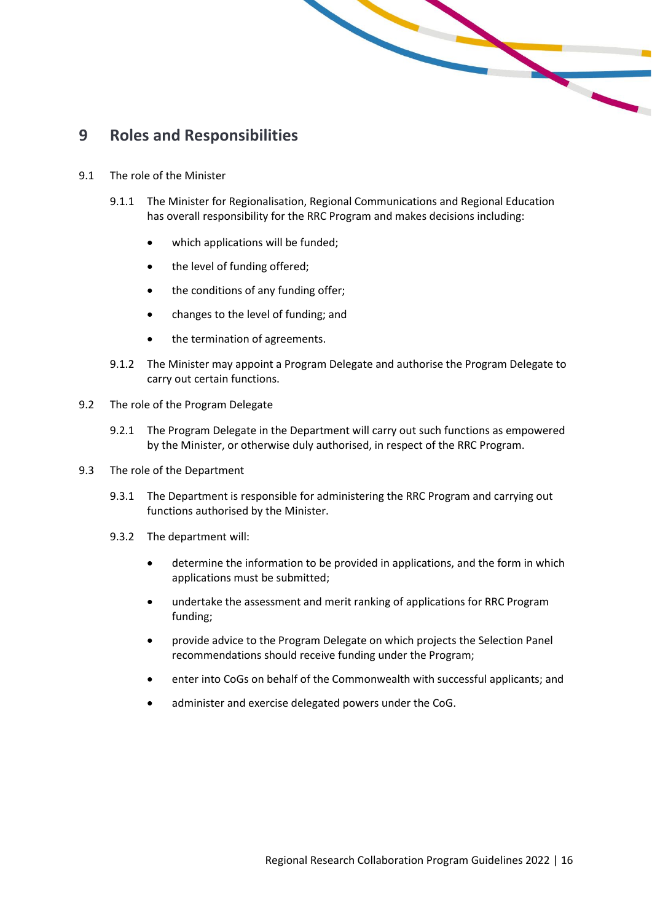

#### <span id="page-15-0"></span>**9 Roles and Responsibilities**

- 9.1 The role of the Minister
	- 9.1.1 The Minister for Regionalisation, Regional Communications and Regional Education has overall responsibility for the RRC Program and makes decisions including:
		- which applications will be funded;
		- the level of funding offered;
		- the conditions of any funding offer;
		- changes to the level of funding; and
		- the termination of agreements.
	- 9.1.2 The Minister may appoint a Program Delegate and authorise the Program Delegate to carry out certain functions.
- 9.2 The role of the Program Delegate
	- 9.2.1 The Program Delegate in the Department will carry out such functions as empowered by the Minister, or otherwise duly authorised, in respect of the RRC Program.
- 9.3 The role of the Department
	- 9.3.1 The Department is responsible for administering the RRC Program and carrying out functions authorised by the Minister.
	- 9.3.2 The department will:
		- determine the information to be provided in applications, and the form in which applications must be submitted;
		- undertake the assessment and merit ranking of applications for RRC Program funding;
		- provide advice to the Program Delegate on which projects the Selection Panel recommendations should receive funding under the Program;
		- enter into CoGs on behalf of the Commonwealth with successful applicants; and
		- administer and exercise delegated powers under the CoG.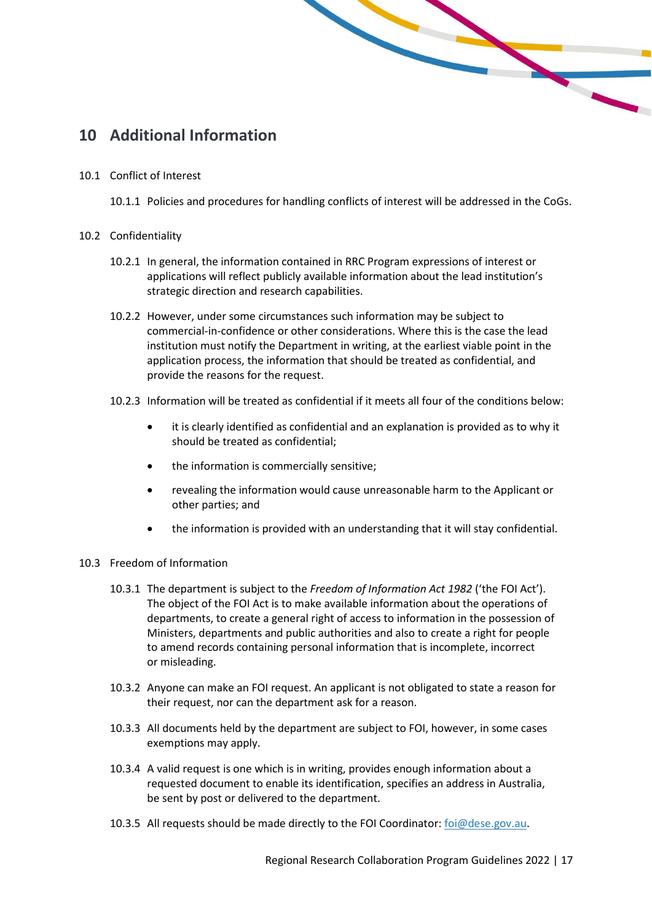

# <span id="page-16-0"></span>**10 Additional Information**

10.1 Conflict of Interest

10.1.1 Policies and procedures for handling conflicts of interest will be addressed in the CoGs.

- 10.2 Confidentiality
	- 10.2.1 In general, the information contained in RRC Program expressions of interest or applications will reflect publicly available information about the lead institution's strategic direction and research capabilities.
	- 10.2.2 However, under some circumstances such information may be subject to commercial-in-confidence or other considerations. Where this is the case the lead institution must notify the Department in writing, at the earliest viable point in the application process, the information that should be treated as confidential, and provide the reasons for the request.
	- 10.2.3 Information will be treated as confidential if it meets all four of the conditions below:
		- it is clearly identified as confidential and an explanation is provided as to why it should be treated as confidential;
		- the information is commercially sensitive;
		- revealing the information would cause unreasonable harm to the Applicant or other parties; and
		- the information is provided with an understanding that it will stay confidential.
- 10.3 Freedom of Information
	- 10.3.1 The department is subject to the *Freedom of Information Act 1982* ('the FOI Act'). The object of the FOI Act is to make available information about the operations of departments, to create a general right of access to information in the possession of Ministers, departments and public authorities and also to create a right for people to amend records containing personal information that is incomplete, incorrect or misleading.
	- 10.3.2 Anyone can make an FOI request. An applicant is not obligated to state a reason for their request, nor can the department ask for a reason.
	- 10.3.3 All documents held by the department are subject to FOI, however, in some cases exemptions may apply.
	- 10.3.4 A valid request is one which is in writing, provides enough information about a requested document to enable its identification, specifies an address in Australia, be sent by post or delivered to the department.
	- 10.3.5 All requests should be made directly to the FOI Coordinator[: foi@dese.gov.au.](mailto:foi@dese.gov.au)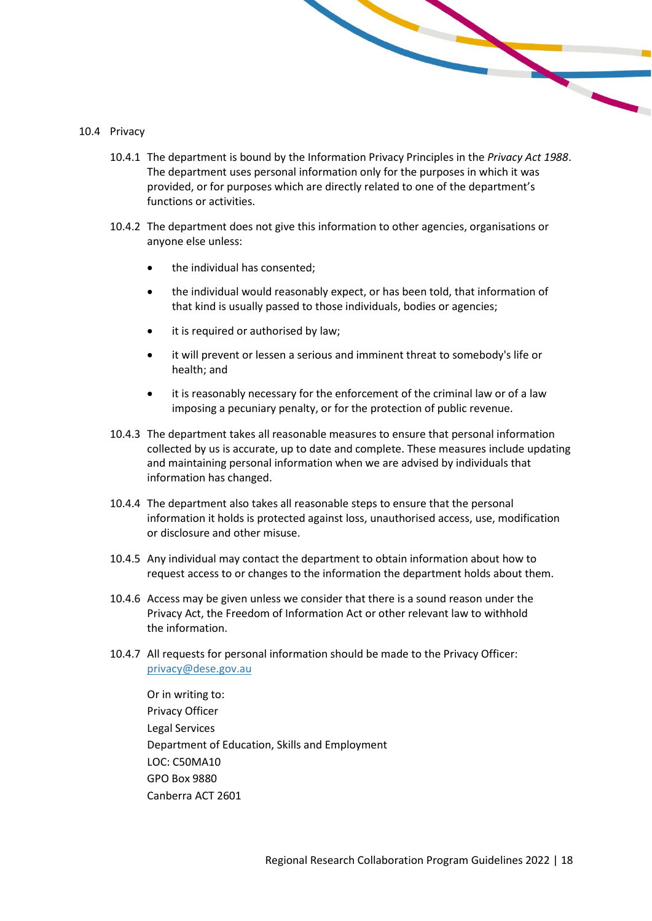#### 10.4 Privacy

10.4.1 The department is bound by the Information Privacy Principles in the *Privacy Act 1988*. The department uses personal information only for the purposes in which it was provided, or for purposes which are directly related to one of the department's functions or activities.

- 10.4.2 The department does not give this information to other agencies, organisations or anyone else unless:
	- the individual has consented:
	- the individual would reasonably expect, or has been told, that information of that kind is usually passed to those individuals, bodies or agencies;
	- it is required or authorised by law;
	- it will prevent or lessen a serious and imminent threat to somebody's life or health; and
	- it is reasonably necessary for the enforcement of the criminal law or of a law imposing a pecuniary penalty, or for the protection of public revenue.
- 10.4.3 The department takes all reasonable measures to ensure that personal information collected by us is accurate, up to date and complete. These measures include updating and maintaining personal information when we are advised by individuals that information has changed.
- 10.4.4 The department also takes all reasonable steps to ensure that the personal information it holds is protected against loss, unauthorised access, use, modification or disclosure and other misuse.
- 10.4.5 Any individual may contact the department to obtain information about how to request access to or changes to the information the department holds about them.
- 10.4.6 Access may be given unless we consider that there is a sound reason under the Privacy Act, the Freedom of Information Act or other relevant law to withhold the information.
- 10.4.7 All requests for personal information should be made to the Privacy Officer: [privacy@dese.gov.au](mailto:privacy@dese.gov.au)

Or in writing to: Privacy Officer Legal Services Department of Education, Skills and Employment LOC: C50MA10 GPO Box 9880 Canberra ACT 2601